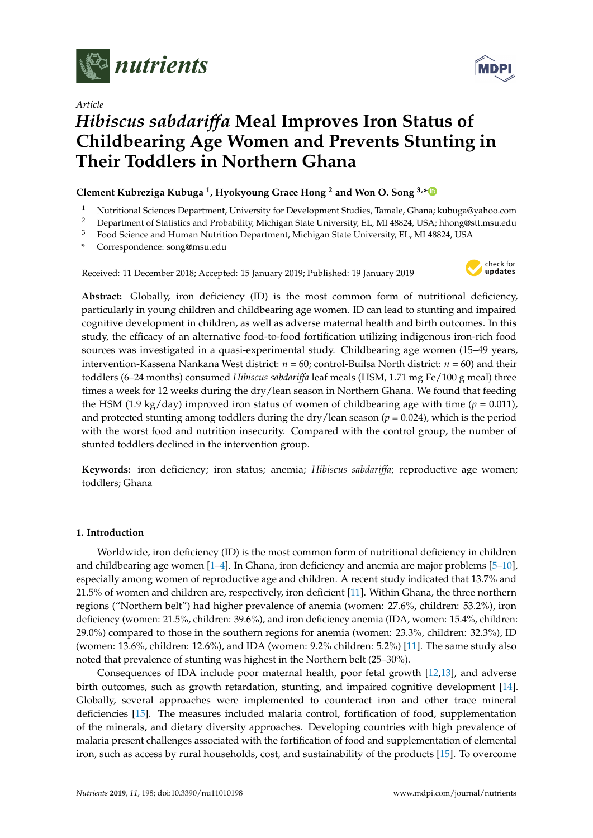

*Article*

# *Hibiscus sabdariffa* **Meal Improves Iron Status of Childbearing Age Women and Prevents Stunting in**

## **Clement Kubreziga Kubuga <sup>1</sup> , Hyokyoung Grace Hong <sup>2</sup> and Won O. Song 3,[\\*](https://orcid.org/0000-0002-4372-4215)**

**Their Toddlers in Northern Ghana**

- <sup>1</sup> Nutritional Sciences Department, University for Development Studies, Tamale, Ghana; kubuga@yahoo.com
- <sup>2</sup> Department of Statistics and Probability, Michigan State University, EL, MI 48824, USA; hhong@stt.msu.edu<br><sup>3</sup> Eacd Science and Human Nutrition Department Michigan State University, EL, MI 48824, USA
- <sup>3</sup> Food Science and Human Nutrition Department, Michigan State University, EL, MI 48824, USA
- **\*** Correspondence: song@msu.edu

Received: 11 December 2018; Accepted: 15 January 2019; Published: 19 January 2019



**Abstract:** Globally, iron deficiency (ID) is the most common form of nutritional deficiency, particularly in young children and childbearing age women. ID can lead to stunting and impaired cognitive development in children, as well as adverse maternal health and birth outcomes. In this study, the efficacy of an alternative food-to-food fortification utilizing indigenous iron-rich food sources was investigated in a quasi-experimental study. Childbearing age women (15–49 years, intervention-Kassena Nankana West district: *n* = 60; control-Builsa North district: *n* = 60) and their toddlers (6–24 months) consumed *Hibiscus sabdariffa* leaf meals (HSM, 1.71 mg Fe/100 g meal) three times a week for 12 weeks during the dry/lean season in Northern Ghana. We found that feeding the HSM (1.9 kg/day) improved iron status of women of childbearing age with time ( $p = 0.011$ ), and protected stunting among toddlers during the dry/lean season  $(p = 0.024)$ , which is the period with the worst food and nutrition insecurity. Compared with the control group, the number of stunted toddlers declined in the intervention group.

**Keywords:** iron deficiency; iron status; anemia; *Hibiscus sabdariffa*; reproductive age women; toddlers; Ghana

#### **1. Introduction**

Worldwide, iron deficiency (ID) is the most common form of nutritional deficiency in children and childbearing age women [\[1–](#page-10-0)[4\]](#page-10-1). In Ghana, iron deficiency and anemia are major problems [\[5](#page-10-2)[–10\]](#page-10-3), especially among women of reproductive age and children. A recent study indicated that 13.7% and 21.5% of women and children are, respectively, iron deficient [\[11\]](#page-10-4). Within Ghana, the three northern regions ("Northern belt") had higher prevalence of anemia (women: 27.6%, children: 53.2%), iron deficiency (women: 21.5%, children: 39.6%), and iron deficiency anemia (IDA, women: 15.4%, children: 29.0%) compared to those in the southern regions for anemia (women: 23.3%, children: 32.3%), ID (women: 13.6%, children: 12.6%), and IDA (women: 9.2% children: 5.2%) [\[11\]](#page-10-4). The same study also noted that prevalence of stunting was highest in the Northern belt (25–30%).

Consequences of IDA include poor maternal health, poor fetal growth [\[12,](#page-10-5)[13\]](#page-10-6), and adverse birth outcomes, such as growth retardation, stunting, and impaired cognitive development [\[14\]](#page-10-7). Globally, several approaches were implemented to counteract iron and other trace mineral deficiencies [\[15\]](#page-10-8). The measures included malaria control, fortification of food, supplementation of the minerals, and dietary diversity approaches. Developing countries with high prevalence of malaria present challenges associated with the fortification of food and supplementation of elemental iron, such as access by rural households, cost, and sustainability of the products [\[15\]](#page-10-8). To overcome

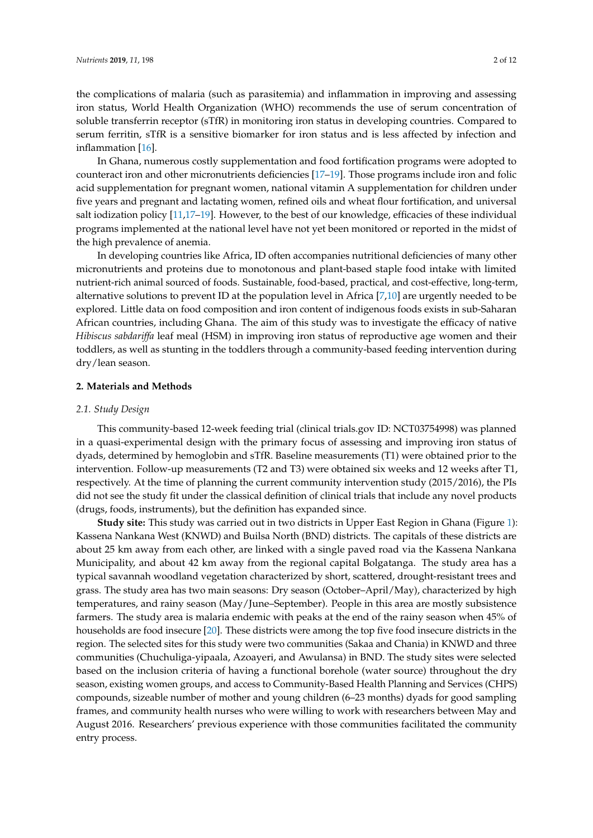the complications of malaria (such as parasitemia) and inflammation in improving and assessing iron status, World Health Organization (WHO) recommends the use of serum concentration of soluble transferrin receptor (sTfR) in monitoring iron status in developing countries. Compared to serum ferritin, sTfR is a sensitive biomarker for iron status and is less affected by infection and inflammation [\[16\]](#page-10-9).

In Ghana, numerous costly supplementation and food fortification programs were adopted to counteract iron and other micronutrients deficiencies [\[17](#page-10-10)[–19\]](#page-11-0). Those programs include iron and folic acid supplementation for pregnant women, national vitamin A supplementation for children under five years and pregnant and lactating women, refined oils and wheat flour fortification, and universal salt iodization policy [\[11,](#page-10-4)[17](#page-10-10)[–19\]](#page-11-0). However, to the best of our knowledge, efficacies of these individual programs implemented at the national level have not yet been monitored or reported in the midst of the high prevalence of anemia.

In developing countries like Africa, ID often accompanies nutritional deficiencies of many other micronutrients and proteins due to monotonous and plant-based staple food intake with limited nutrient-rich animal sourced of foods. Sustainable, food-based, practical, and cost-effective, long-term, alternative solutions to prevent ID at the population level in Africa [\[7,](#page-10-11)[10\]](#page-10-3) are urgently needed to be explored. Little data on food composition and iron content of indigenous foods exists in sub-Saharan African countries, including Ghana. The aim of this study was to investigate the efficacy of native *Hibiscus sabdariffa* leaf meal (HSM) in improving iron status of reproductive age women and their toddlers, as well as stunting in the toddlers through a community-based feeding intervention during dry/lean season.

#### **2. Materials and Methods**

#### *2.1. Study Design*

This community-based 12-week feeding trial (clinical trials.gov ID: NCT03754998) was planned in a quasi-experimental design with the primary focus of assessing and improving iron status of dyads, determined by hemoglobin and sTfR. Baseline measurements (T1) were obtained prior to the intervention. Follow-up measurements (T2 and T3) were obtained six weeks and 12 weeks after T1, respectively. At the time of planning the current community intervention study (2015/2016), the PIs did not see the study fit under the classical definition of clinical trials that include any novel products (drugs, foods, instruments), but the definition has expanded since.

**Study site:** This study was carried out in two districts in Upper East Region in Ghana (Figure [1\)](#page-2-0): Kassena Nankana West (KNWD) and Builsa North (BND) districts. The capitals of these districts are about 25 km away from each other, are linked with a single paved road via the Kassena Nankana Municipality, and about 42 km away from the regional capital Bolgatanga. The study area has a typical savannah woodland vegetation characterized by short, scattered, drought-resistant trees and grass. The study area has two main seasons: Dry season (October–April/May), characterized by high temperatures, and rainy season (May/June–September). People in this area are mostly subsistence farmers. The study area is malaria endemic with peaks at the end of the rainy season when 45% of households are food insecure [\[20\]](#page-11-1). These districts were among the top five food insecure districts in the region. The selected sites for this study were two communities (Sakaa and Chania) in KNWD and three communities (Chuchuliga-yipaala, Azoayeri, and Awulansa) in BND. The study sites were selected based on the inclusion criteria of having a functional borehole (water source) throughout the dry season, existing women groups, and access to Community-Based Health Planning and Services (CHPS) compounds, sizeable number of mother and young children (6–23 months) dyads for good sampling frames, and community health nurses who were willing to work with researchers between May and August 2016. Researchers' previous experience with those communities facilitated the community entry process.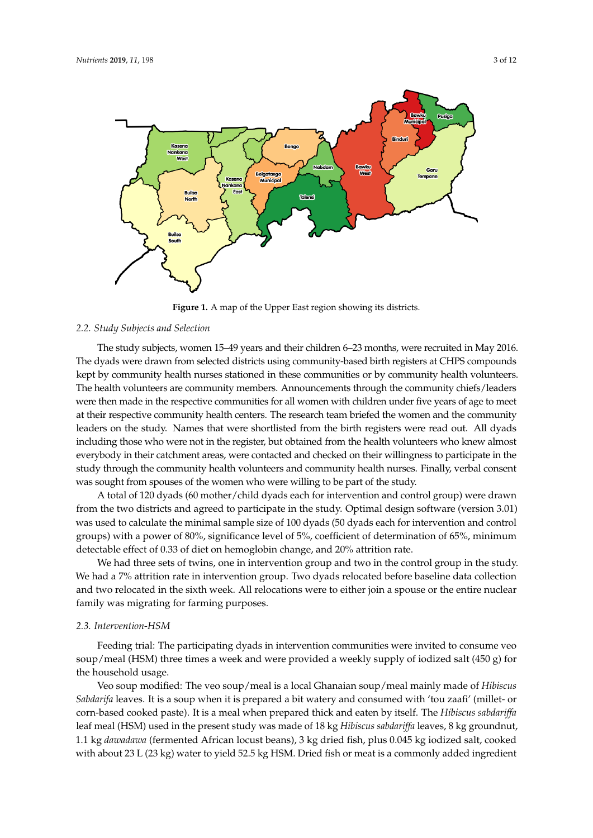<span id="page-2-0"></span>

**Figure 1.** A map of the Upper East region showing its districts.

### 2.2. Study Subjects and Selection **showing its district of the Upper** Section shows that

*2.2. Study Subjects and Selection* The study subjects, women 15–49 years and their children 6–23 months, were recruited in May 2016. kept by community health nurses stationed in these communities or by community health volunteers. The health volunteers are community members. Announcements through the community chiefs/leaders were then made in the respective communities for all women with children under five years of age to meet at their respective community health centers. The research team briefed the women and the community leaders on the study. Names that were shortlisted from the birth registers were read out. All dyads including those who were not in the register, but obtained from the health volunteers who knew almost everybody in their catchment areas, were contacted and checked on their willingness to participate in the study through the community health volunteers and community health nurses. Finally, verbal consent was sought from spouses of the women who were willing to be part of the study. The dyads were drawn from selected districts using community-based birth registers at CHPS compounds

A total of 120 dyads (60 mother/child dyads each for intervention and control group) were drawn from the two districts and agreed to participate in the study. Optimal design software (version 3.01) was used to calculate the minimal sample size of 100 dyads (50 dyads each for intervention and control groups) with a power of 80%, significance level of 5%, coefficient of determination of 65%, minimum detectable effect of 0.33 of diet on hemoglobin change, and 20% attrition rate.

We had three sets of twins, one in intervention group and two in the control group in the study. We had a 7% attrition rate in intervention group. Two dyads relocated before baseline data collection and two relocated in the sixth week. All relocations were to either join a spouse or the entire nuclear family was migrating for farming purposes.  $\mathcal{S}$  at  $\mathcal{S}$  at  $\mathcal{S}$  at  $\mathcal{S}$  relation group. Two dyads relation  $\mathcal{S}$ 

#### collection and two relocated in the sixth week. All relocations were to either join a spouse or the *2.3. Intervention-HSM*

Feeding trial: The participating dyads in intervention communities were invited to consume veo soup/meal (HSM) three times a week and were provided a weekly supply of iodized salt (450 g) for<br>. the household usage.

Veo soup modified: The veo soup/meal is a local Ghanaian soup/meal mainly made of *Hibiscus* Sabdarifa leaves. It is a soup when it is prepared a bit watery and consumed with 'tou zaafi' (millet- or corn-based cooked paste). It is a meal when prepared thick and eaten by itself. The *Hibiscus sabdariffa* leaf meal (HSM) used in the present study was made of 18 kg *Hibiscus sabdariffa* leaves, 8 kg groundnut, 1.1 kg *dawadawa* (fermented African locust beans), 3 kg dried fish, plus 0.045 kg iodized salt, cooked with about 23 L (23 kg) water to yield 52.5 kg HSM. Dried fish or meat is a commonly added ingredient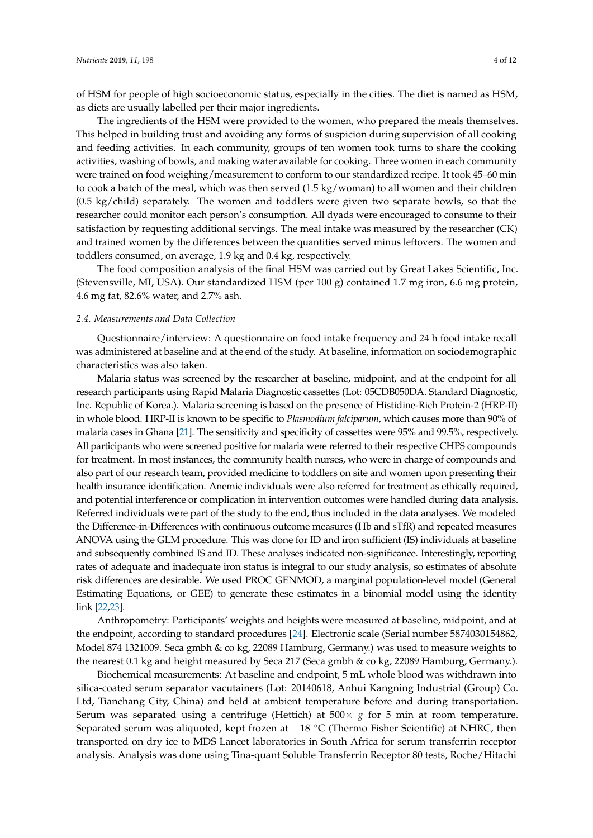of HSM for people of high socioeconomic status, especially in the cities. The diet is named as HSM, as diets are usually labelled per their major ingredients.

The ingredients of the HSM were provided to the women, who prepared the meals themselves. This helped in building trust and avoiding any forms of suspicion during supervision of all cooking and feeding activities. In each community, groups of ten women took turns to share the cooking activities, washing of bowls, and making water available for cooking. Three women in each community were trained on food weighing/measurement to conform to our standardized recipe. It took 45–60 min to cook a batch of the meal, which was then served (1.5 kg/woman) to all women and their children (0.5 kg/child) separately. The women and toddlers were given two separate bowls, so that the researcher could monitor each person's consumption. All dyads were encouraged to consume to their satisfaction by requesting additional servings. The meal intake was measured by the researcher (CK) and trained women by the differences between the quantities served minus leftovers. The women and toddlers consumed, on average, 1.9 kg and 0.4 kg, respectively.

The food composition analysis of the final HSM was carried out by Great Lakes Scientific, Inc. (Stevensville, MI, USA). Our standardized HSM (per 100 g) contained 1.7 mg iron, 6.6 mg protein, 4.6 mg fat, 82.6% water, and 2.7% ash.

#### *2.4. Measurements and Data Collection*

Questionnaire/interview: A questionnaire on food intake frequency and 24 h food intake recall was administered at baseline and at the end of the study. At baseline, information on sociodemographic characteristics was also taken.

Malaria status was screened by the researcher at baseline, midpoint, and at the endpoint for all research participants using Rapid Malaria Diagnostic cassettes (Lot: 05CDB050DA. Standard Diagnostic, Inc. Republic of Korea.). Malaria screening is based on the presence of Histidine-Rich Protein-2 (HRP-II) in whole blood. HRP-II is known to be specific to *Plasmodium falciparum*, which causes more than 90% of malaria cases in Ghana [\[21\]](#page-11-2). The sensitivity and specificity of cassettes were 95% and 99.5%, respectively. All participants who were screened positive for malaria were referred to their respective CHPS compounds for treatment. In most instances, the community health nurses, who were in charge of compounds and also part of our research team, provided medicine to toddlers on site and women upon presenting their health insurance identification. Anemic individuals were also referred for treatment as ethically required, and potential interference or complication in intervention outcomes were handled during data analysis. Referred individuals were part of the study to the end, thus included in the data analyses. We modeled the Difference-in-Differences with continuous outcome measures (Hb and sTfR) and repeated measures ANOVA using the GLM procedure. This was done for ID and iron sufficient (IS) individuals at baseline and subsequently combined IS and ID. These analyses indicated non-significance. Interestingly, reporting rates of adequate and inadequate iron status is integral to our study analysis, so estimates of absolute risk differences are desirable. We used PROC GENMOD, a marginal population-level model (General Estimating Equations, or GEE) to generate these estimates in a binomial model using the identity link [\[22](#page-11-3)[,23\]](#page-11-4).

Anthropometry: Participants' weights and heights were measured at baseline, midpoint, and at the endpoint, according to standard procedures [\[24\]](#page-11-5). Electronic scale (Serial number 5874030154862, Model 874 1321009. Seca gmbh & co kg, 22089 Hamburg, Germany.) was used to measure weights to the nearest 0.1 kg and height measured by Seca 217 (Seca gmbh & co kg, 22089 Hamburg, Germany.).

Biochemical measurements: At baseline and endpoint, 5 mL whole blood was withdrawn into silica-coated serum separator vacutainers (Lot: 20140618, Anhui Kangning Industrial (Group) Co. Ltd, Tianchang City, China) and held at ambient temperature before and during transportation. Serum was separated using a centrifuge (Hettich) at  $500 \times g$  for 5 min at room temperature. Separated serum was aliquoted, kept frozen at −18 ◦C (Thermo Fisher Scientific) at NHRC, then transported on dry ice to MDS Lancet laboratories in South Africa for serum transferrin receptor analysis. Analysis was done using Tina-quant Soluble Transferrin Receptor 80 tests, Roche/Hitachi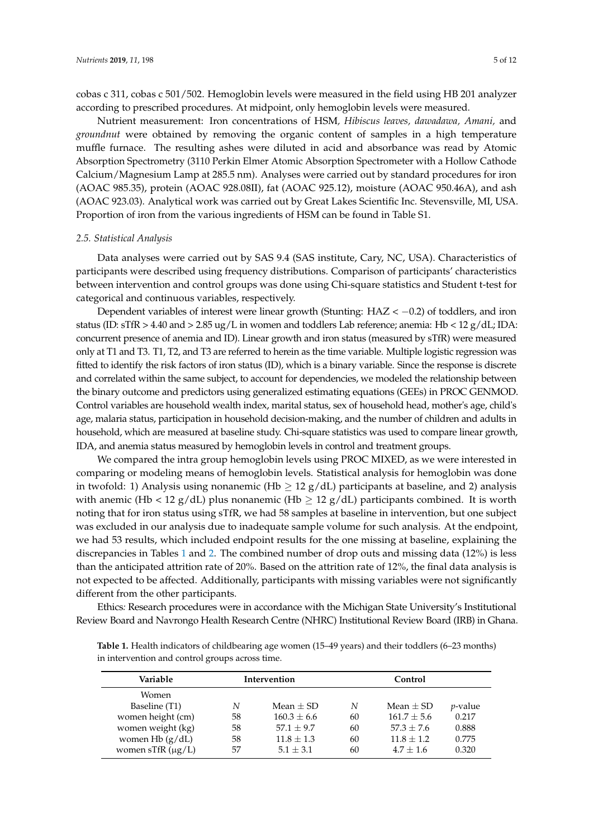cobas c 311, cobas c 501/502. Hemoglobin levels were measured in the field using HB 201 analyzer according to prescribed procedures. At midpoint, only hemoglobin levels were measured.

Nutrient measurement: Iron concentrations of HSM*, Hibiscus leaves, dawadawa, Amani,* and *groundnut* were obtained by removing the organic content of samples in a high temperature muffle furnace. The resulting ashes were diluted in acid and absorbance was read by Atomic Absorption Spectrometry (3110 Perkin Elmer Atomic Absorption Spectrometer with a Hollow Cathode Calcium/Magnesium Lamp at 285.5 nm). Analyses were carried out by standard procedures for iron (AOAC 985.35), protein (AOAC 928.08II), fat (AOAC 925.12), moisture (AOAC 950.46A), and ash (AOAC 923.03). Analytical work was carried out by Great Lakes Scientific Inc. Stevensville, MI, USA. Proportion of iron from the various ingredients of HSM can be found in Table S1.

#### *2.5. Statistical Analysis*

Data analyses were carried out by SAS 9.4 (SAS institute, Cary, NC, USA). Characteristics of participants were described using frequency distributions. Comparison of participants' characteristics between intervention and control groups was done using Chi-square statistics and Student t-test for categorical and continuous variables, respectively.

Dependent variables of interest were linear growth (Stunting:  $HAZ < -0.2$ ) of toddlers, and iron status (ID: sTfR > 4.40 and > 2.85 ug/L in women and toddlers Lab reference; anemia: Hb <  $12 \text{ g}/\text{d}$ L; IDA: concurrent presence of anemia and ID). Linear growth and iron status (measured by sTfR) were measured only at T1 and T3. T1, T2, and T3 are referred to herein as the time variable. Multiple logistic regression was fitted to identify the risk factors of iron status (ID), which is a binary variable. Since the response is discrete and correlated within the same subject, to account for dependencies, we modeled the relationship between the binary outcome and predictors using generalized estimating equations (GEEs) in PROC GENMOD. Control variables are household wealth index, marital status, sex of household head, mother's age, child's age, malaria status, participation in household decision-making, and the number of children and adults in household, which are measured at baseline study. Chi-square statistics was used to compare linear growth, IDA, and anemia status measured by hemoglobin levels in control and treatment groups.

We compared the intra group hemoglobin levels using PROC MIXED, as we were interested in comparing or modeling means of hemoglobin levels. Statistical analysis for hemoglobin was done in twofold: 1) Analysis using nonanemic (Hb  $\geq$  12 g/dL) participants at baseline, and 2) analysis with anemic (Hb < 12 g/dL) plus nonanemic (Hb  $\geq$  12 g/dL) participants combined. It is worth noting that for iron status using sTfR, we had 58 samples at baseline in intervention, but one subject was excluded in our analysis due to inadequate sample volume for such analysis. At the endpoint, we had 53 results, which included endpoint results for the one missing at baseline, explaining the discrepancies in Tables [1](#page-5-0) and [2.](#page-5-1) The combined number of drop outs and missing data (12%) is less than the anticipated attrition rate of 20%. Based on the attrition rate of 12%, the final data analysis is not expected to be affected. Additionally, participants with missing variables were not significantly different from the other participants.

Ethics*:* Research procedures were in accordance with the Michigan State University's Institutional Review Board and Navrongo Health Research Centre (NHRC) Institutional Review Board (IRB) in Ghana.

| Variable               | Intervention |                 | Control |               |                 |  |
|------------------------|--------------|-----------------|---------|---------------|-----------------|--|
| Women                  |              |                 |         |               |                 |  |
| Baseline (T1)          | N            | Mean $\pm$ SD   | N       | Mean $\pm$ SD | <i>p</i> -value |  |
| women height (cm)      | 58           | $160.3 \pm 6.6$ | 60      | $161.7 + 5.6$ | 0.217           |  |
| women weight (kg)      | 58           | $57.1 + 9.7$    | 60      | $57.3 + 7.6$  | 0.888           |  |
| women Hb $(g/dL)$      | 58           | $11.8 + 1.3$    | 60      | $11.8 + 1.2$  | 0.775           |  |
| women sTfR $(\mu g/L)$ | 57           | $5.1 + 3.1$     | 60      | $4.7 + 1.6$   | 0.320           |  |

**Table 1.** Health indicators of childbearing age women (15–49 years) and their toddlers (6–23 months) in intervention and control groups across time.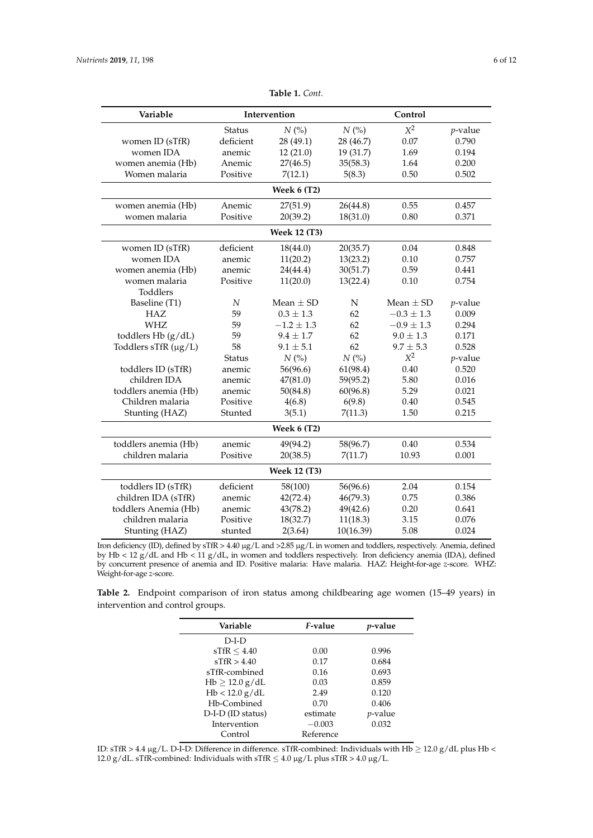<span id="page-5-0"></span>

| Variable                  | Intervention  |                     | Control   |                |                 |  |  |
|---------------------------|---------------|---------------------|-----------|----------------|-----------------|--|--|
|                           | Status        | N(%                 | N(%       | $X^2$          | $p$ -value      |  |  |
| women ID (sTfR)           | deficient     | 28 (49.1)           | 28 (46.7) | 0.07           | 0.790           |  |  |
| women IDA                 | anemic        | 12(21.0)            | 19 (31.7) | 1.69           | 0.194           |  |  |
| women anemia (Hb)         | Anemic        | 27(46.5)            | 35(58.3)  | 1.64           | 0.200           |  |  |
| Women malaria             | Positive      | 7(12.1)             | 5(8.3)    | 0.50           | 0.502           |  |  |
| <b>Week 6 (T2)</b>        |               |                     |           |                |                 |  |  |
| women anemia (Hb)         | Anemic        | 27(51.9)            | 26(44.8)  | 0.55           | 0.457           |  |  |
| women malaria             | Positive      | 20(39.2)            | 18(31.0)  | 0.80           | 0.371           |  |  |
|                           |               | <b>Week 12 (T3)</b> |           |                |                 |  |  |
| women ID (sTfR)           | deficient     | 18(44.0)            | 20(35.7)  | 0.04           | 0.848           |  |  |
| women IDA                 | anemic        | 11(20.2)            | 13(23.2)  | 0.10           | 0.757           |  |  |
| women anemia (Hb)         | anemic        | 24(44.4)            | 30(51.7)  | 0.59           | 0.441           |  |  |
| women malaria             | Positive      | 11(20.0)            | 13(22.4)  | 0.10           | 0.754           |  |  |
| Toddlers                  |               |                     |           |                |                 |  |  |
| Baseline (T1)             | N             | Mean $\pm$ SD       | N         | Mean $\pm$ SD  | <i>p</i> -value |  |  |
| HAZ                       | 59            | $0.3 \pm 1.3$       | 62        | $-0.3 \pm 1.3$ | 0.009           |  |  |
| <b>WHZ</b>                | 59            | $-1.2 \pm 1.3$      | 62        | $-0.9 \pm 1.3$ | 0.294           |  |  |
| toddlers Hb (g/dL)        | 59            | $9.4 \pm 1.7$       | 62        | $9.0 \pm 1.3$  | 0.171           |  |  |
| Toddlers sTfR $(\mu g/L)$ | 58            | $9.1 \pm 5.1$       | 62        | $9.7 \pm 5.3$  | 0.528           |  |  |
|                           | <b>Status</b> | N(%                 | N(%       | $X^2$          | $p$ -value      |  |  |
| toddlers ID (sTfR)        | anemic        | 56(96.6)            | 61(98.4)  | 0.40           | 0.520           |  |  |
| children IDA              | anemic        | 47(81.0)            | 59(95.2)  | 5.80           | 0.016           |  |  |
| toddlers anemia (Hb)      | anemic        | 50(84.8)            | 60(96.8)  | 5.29           | 0.021           |  |  |
| Children malaria          | Positive      | 4(6.8)              | 6(9.8)    | 0.40           | 0.545           |  |  |
| Stunting (HAZ)            | Stunted       | 3(5.1)              | 7(11.3)   | 1.50           | 0.215           |  |  |
|                           |               | <b>Week 6 (T2)</b>  |           |                |                 |  |  |
| toddlers anemia (Hb)      | anemic        | 49(94.2)            | 58(96.7)  | 0.40           | 0.534           |  |  |
| children malaria          | Positive      | 20(38.5)            | 7(11.7)   | 10.93          | 0.001           |  |  |
|                           |               | <b>Week 12 (T3)</b> |           |                |                 |  |  |
| toddlers ID (sTfR)        | deficient     | 58(100)             | 56(96.6)  | 2.04           | 0.154           |  |  |
| children IDA (sTfR)       | anemic        | 42(72.4)            | 46(79.3)  | 0.75           | 0.386           |  |  |
| toddlers Anemia (Hb)      | anemic        | 43(78.2)            | 49(42.6)  | 0.20           | 0.641           |  |  |
| children malaria          | Positive      | 18(32.7)            | 11(18.3)  | 3.15           | 0.076           |  |  |
| Stunting (HAZ)            | stunted       | 2(3.64)             | 10(16.39) | 5.08           | 0.024           |  |  |

**Table 1.** *Cont.*

Iron deficiency (ID), defined by sTfR > 4.40 µg/L and >2.85 µg/L in women and toddlers, respectively. Anemia, defined by Hb < 12 g/dL and Hb < 11 g/dL, in women and toddlers respectively. Iron deficiency anemia (IDA), defined by concurrent presence of anemia and ID. Positive malaria: Have malaria. HAZ: Height-for-age *z*-score. WHZ: Weight-for-age *z*-score.

<span id="page-5-1"></span>**Table 2.** Endpoint comparison of iron status among childbearing age women (15–49 years) in intervention and control groups.

| Variable            | F-value   | <i>p</i> -value |
|---------------------|-----------|-----------------|
| $D-I-D$             |           |                 |
| $sTfR \leq 4.40$    | 0.00      | 0.996           |
| sTfR > 4.40         | 0.17      | 0.684           |
| sTfR-combined       | 0.16      | 0.693           |
| $Hb \geq 12.0$ g/dL | 0.03      | 0.859           |
| Hb < 12.0 g/dL      | 2.49      | 0.120           |
| Hb-Combined         | 0.70      | 0.406           |
| D-I-D (ID status)   | estimate  | <i>p</i> -value |
| Intervention        | $-0.003$  | 0.032           |
| Control             | Reference |                 |
|                     |           |                 |

ID: sTfR > 4.4  $\mu$ g/L. D-I-D: Difference in difference. sTfR-combined: Individuals with Hb  $\geq 12.0$  g/dL plus Hb < 12.0 g/dL. sTfR-combined: Individuals with sTfR  $\leq$  4.0 µg/L plus sTfR > 4.0 µg/L.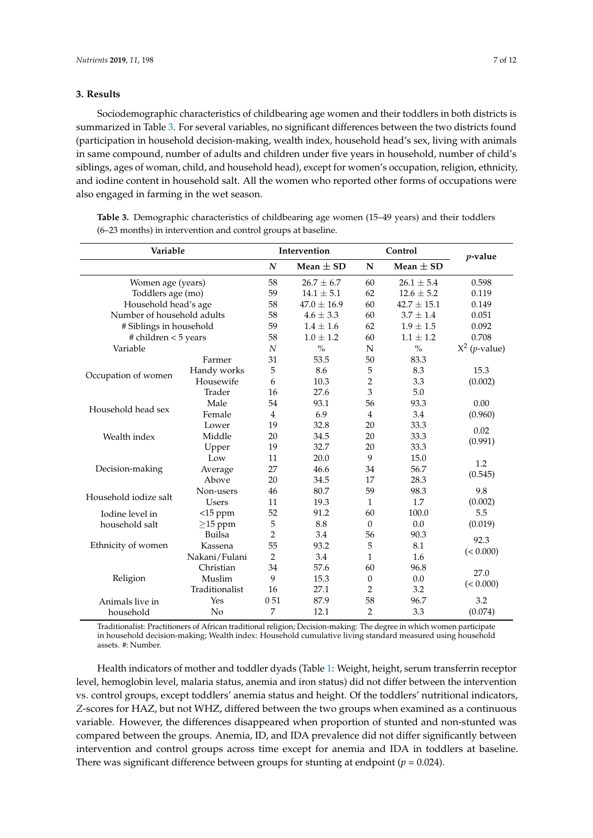#### **3. Results**

Sociodemographic characteristics of childbearing age women and their toddlers in both districts is summarized in Table [3.](#page-6-0) For several variables, no significant differences between the two districts found (participation in household decision-making, wealth index, household head's sex, living with animals in same compound, number of adults and children under five years in household, number of child's siblings, ages of woman, child, and household head), except for women's occupation, religion, ethnicity, and iodine content in household salt. All the women who reported other forms of occupations were also engaged in farming in the wet season.

| Variable                   |                | Intervention   |                 | Control          |                 | <i>v</i> -value          |  |
|----------------------------|----------------|----------------|-----------------|------------------|-----------------|--------------------------|--|
|                            |                | $\mathbf{N}$   | $Mean + SD$     | N                | Mean $\pm$ SD   |                          |  |
| Women age (years)          |                | 58             | $26.7 \pm 6.7$  | 60               | $26.1 \pm 5.4$  | 0.598                    |  |
| Toddlers age (mo)          |                | 59             | $14.1 \pm 5.1$  | 62               | $12.6 \pm 5.2$  | 0.119                    |  |
| Household head's age       |                | 58             | $47.0 \pm 16.9$ | 60               | $42.7 \pm 15.1$ | 0.149                    |  |
| Number of household adults |                | 58             | $4.6 \pm 3.3$   | 60               | $3.7 \pm 1.4$   | 0.051                    |  |
| # Siblings in household    |                | 59             | $1.4 \pm 1.6$   | 62               | $1.9\pm1.5$     | 0.092                    |  |
| # children < 5 years       |                | 58             | $1.0 \pm 1.2$   | 60               | $1.1 \pm 1.2$   | 0.708                    |  |
| Variable                   |                | N              | $\%$            | N                | $\%$            | $X^2$ ( <i>p</i> -value) |  |
|                            | Farmer         | 31             | 53.5            | 50               | 83.3            |                          |  |
| Occupation of women        | Handy works    | 5              | 8.6             | 5                | 8.3             | 15.3                     |  |
|                            | Housewife      | 6              | 10.3            | $\overline{2}$   | 3.3             | (0.002)                  |  |
|                            | Trader         | 16             | 27.6            | 3                | 5.0             |                          |  |
|                            | Male           | 54             | 93.1            | 56               | 93.3            | 0.00                     |  |
| Household head sex         | Female         | $\overline{4}$ | 6.9             | $\overline{4}$   | 3.4             | (0.960)                  |  |
|                            | Lower          | 19             | 32.8            | 20               | 33.3            | 0.02                     |  |
| Wealth index               | Middle         | 20             | 34.5            | 20               | 33.3            | (0.991)                  |  |
|                            | Upper          | 19             | 32.7            | 20               | 33.3            |                          |  |
|                            | Low            | 11             | 20.0            | 9                | 15.0            | 1.2                      |  |
| Decision-making            | Average        | 27             | 46.6            | 34               | 56.7            | (0.545)                  |  |
|                            | Above          | 20             | 34.5            | 17               | 28.3            |                          |  |
| Household iodize salt      | Non-users      | 46             | 80.7            | 59               | 98.3            | 9.8                      |  |
|                            | <b>Users</b>   | 11             | 19.3            | 1                | 1.7             | (0.002)                  |  |
| Iodine level in            | $<$ 15 ppm     | 52             | 91.2            | 60               | 100.0           | 5.5                      |  |
| household salt             | $\geq$ 15 ppm  | 5              | 8.8             | $\theta$         | 0.0             | (0.019)                  |  |
|                            | <b>Builsa</b>  | $\overline{2}$ | 3.4             | 56               | 90.3            | 92.3                     |  |
| Ethnicity of women         | Kassena        | 55             | 93.2            | 5                | 8.1             | (< 0.000)                |  |
|                            | Nakani/Fulani  | $\overline{2}$ | 3.4             | 1                | 1.6             |                          |  |
|                            | Christian      | 34             | 57.6            | 60               | 96.8            | 27.0                     |  |
| Religion                   | Muslim         | 9              | 15.3            | $\boldsymbol{0}$ | 0.0             |                          |  |
|                            | Traditionalist | 16             | 27.1            | $\overline{2}$   | 3.2             | (< 0.000)                |  |
| Animals live in            | Yes            | 051            | 87.9            | 58               | 96.7            | 3.2                      |  |
| household                  | No             | 7              | 12.1            | $\overline{2}$   | 3.3             | (0.074)                  |  |

<span id="page-6-0"></span>**Table 3.** Demographic characteristics of childbearing age women (15–49 years) and their toddlers (6–23 months) in intervention and control groups at baseline.

Traditionalist: Practitioners of African traditional religion; Decision-making: The degree in which women participate in household decision-making; Wealth index: Household cumulative living standard measured using household assets. #: Number.

Health indicators of mother and toddler dyads (Table [1:](#page-5-0) Weight, height, serum transferrin receptor level, hemoglobin level, malaria status, anemia and iron status) did not differ between the intervention vs. control groups, except toddlers' anemia status and height. Of the toddlers' nutritional indicators, *Z*-scores for HAZ, but not WHZ, differed between the two groups when examined as a continuous variable. However, the differences disappeared when proportion of stunted and non-stunted was compared between the groups. Anemia, ID, and IDA prevalence did not differ significantly between intervention and control groups across time except for anemia and IDA in toddlers at baseline. There was significant difference between groups for stunting at endpoint  $(p = 0.024)$ .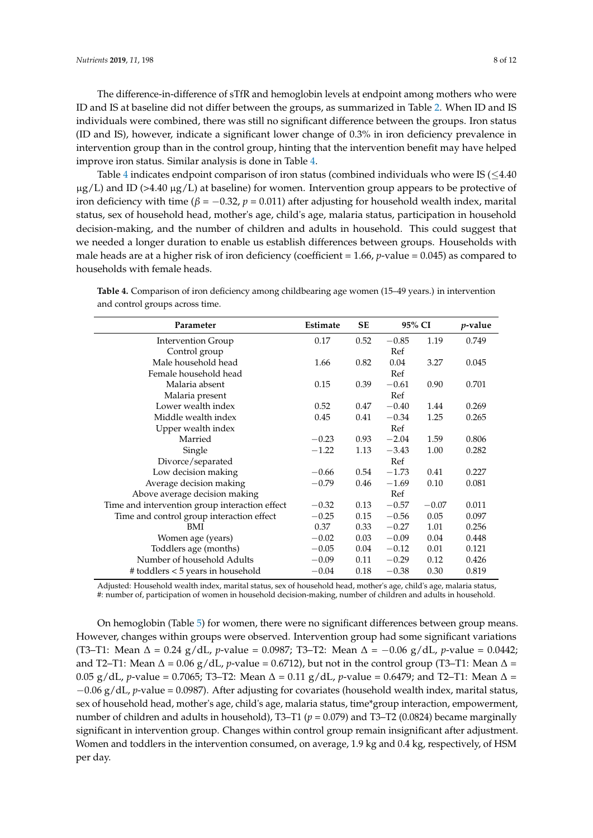The difference-in-difference of sTfR and hemoglobin levels at endpoint among mothers who were ID and IS at baseline did not differ between the groups, as summarized in Table [2.](#page-5-1) When ID and IS individuals were combined, there was still no significant difference between the groups. Iron status (ID and IS), however, indicate a significant lower change of 0.3% in iron deficiency prevalence in intervention group than in the control group, hinting that the intervention benefit may have helped improve iron status. Similar analysis is done in Table [4.](#page-7-0)

Table [4](#page-7-0) indicates endpoint comparison of iron status (combined individuals who were IS  $(\leq 4.40)$  $\mu$ g/L) and ID (>4.40  $\mu$ g/L) at baseline) for women. Intervention group appears to be protective of iron deficiency with time ( $\beta = -0.32$ ,  $p = 0.011$ ) after adjusting for household wealth index, marital status, sex of household head, mother's age, child's age, malaria status, participation in household decision-making, and the number of children and adults in household. This could suggest that we needed a longer duration to enable us establish differences between groups. Households with male heads are at a higher risk of iron deficiency (coefficient = 1.66, *p*-value = 0.045) as compared to households with female heads.

| Parameter                                      | Estimate | <b>SE</b> | 95% CI  |         | <i>p</i> -value |
|------------------------------------------------|----------|-----------|---------|---------|-----------------|
| Intervention Group                             | 0.17     | 0.52      | $-0.85$ | 1.19    | 0.749           |
| Control group                                  |          |           | Ref     |         |                 |
| Male household head                            | 1.66     | 0.82      | 0.04    | 3.27    | 0.045           |
| Female household head                          |          |           | Ref     |         |                 |
| Malaria absent                                 | 0.15     | 0.39      | $-0.61$ | 0.90    | 0.701           |
| Malaria present                                |          |           | Ref     |         |                 |
| Lower wealth index                             | 0.52     | 0.47      | $-0.40$ | 1.44    | 0.269           |
| Middle wealth index                            | 0.45     | 0.41      | $-0.34$ | 1.25    | 0.265           |
| Upper wealth index                             |          |           | Ref     |         |                 |
| Married                                        | $-0.23$  | 0.93      | $-2.04$ | 1.59    | 0.806           |
| Single                                         | $-1.22$  | 1.13      | $-3.43$ | 1.00    | 0.282           |
| Divorce/separated                              |          |           | Ref     |         |                 |
| Low decision making                            | $-0.66$  | 0.54      | $-1.73$ | 0.41    | 0.227           |
| Average decision making                        | $-0.79$  | 0.46      | $-1.69$ | 0.10    | 0.081           |
| Above average decision making                  |          |           | Ref     |         |                 |
| Time and intervention group interaction effect | $-0.32$  | 0.13      | $-0.57$ | $-0.07$ | 0.011           |
| Time and control group interaction effect      | $-0.25$  | 0.15      | $-0.56$ | 0.05    | 0.097           |
| BMI                                            | 0.37     | 0.33      | $-0.27$ | 1.01    | 0.256           |
| Women age (years)                              | $-0.02$  | 0.03      | $-0.09$ | 0.04    | 0.448           |
| Toddlers age (months)                          | $-0.05$  | 0.04      | $-0.12$ | 0.01    | 0.121           |
| Number of household Adults                     | $-0.09$  | 0.11      | $-0.29$ | 0.12    | 0.426           |
| # toddlers $<$ 5 years in household            | $-0.04$  | 0.18      | $-0.38$ | 0.30    | 0.819           |

<span id="page-7-0"></span>**Table 4.** Comparison of iron deficiency among childbearing age women (15–49 years.) in intervention and control groups across time.

Adjusted: Household wealth index, marital status, sex of household head, mother's age, child's age, malaria status, #: number of, participation of women in household decision-making, number of children and adults in household.

On hemoglobin (Table [5\)](#page-8-0) for women, there were no significant differences between group means. However, changes within groups were observed. Intervention group had some significant variations (T3–T1: Mean ∆ = 0.24 g/dL, *p*-value = 0.0987; T3–T2: Mean ∆ = −0.06 g/dL, *p*-value = 0.0442; and T2–T1: Mean  $\Delta = 0.06$  g/dL, *p*-value = 0.6712), but not in the control group (T3–T1: Mean  $\Delta$  = 0.05 g/dL, *p*-value = 0.7065; T3–T2: Mean  $\Delta$  = 0.11 g/dL, *p*-value = 0.6479; and T2–T1: Mean  $\Delta$  = −0.06 g/dL, *p*-value = 0.0987). After adjusting for covariates (household wealth index, marital status, sex of household head, mother's age, child's age, malaria status, time\*group interaction, empowerment, number of children and adults in household), T3–T1 (*p* = 0.079) and T3–T2 (0.0824) became marginally significant in intervention group. Changes within control group remain insignificant after adjustment. Women and toddlers in the intervention consumed, on average, 1.9 kg and 0.4 kg, respectively, of HSM per day.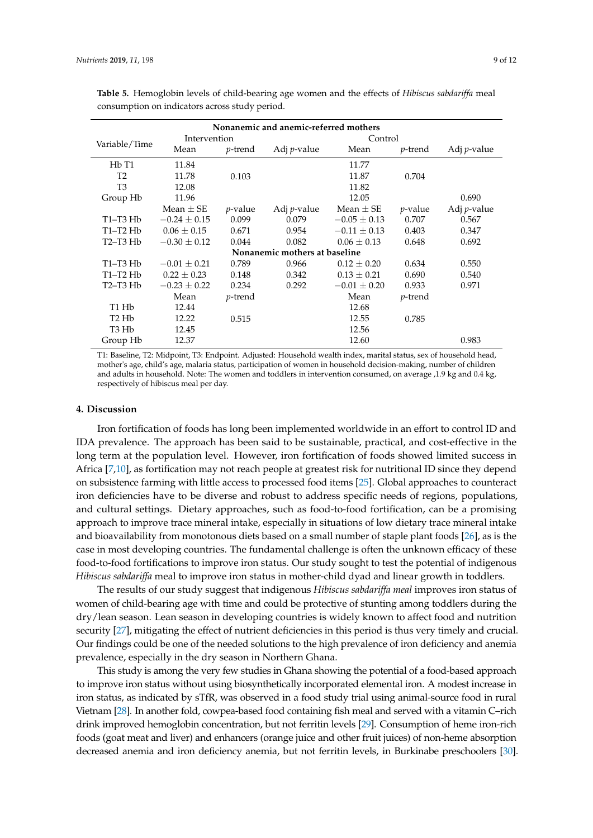| Nonanemic and anemic-referred mothers |                  |                 |                     |                  |                 |                     |  |
|---------------------------------------|------------------|-----------------|---------------------|------------------|-----------------|---------------------|--|
|                                       | Intervention     |                 |                     | Control          |                 |                     |  |
| Variable/Time                         | Mean             | <i>p</i> -trend | Adj <i>p</i> -value | Mean             | <i>p</i> -trend | Adj <i>p</i> -value |  |
| HbT1                                  | 11.84            |                 |                     | 11.77            |                 |                     |  |
| T <sub>2</sub>                        | 11.78            | 0.103           |                     | 11.87            | 0.704           |                     |  |
| T <sub>3</sub>                        | 12.08            |                 |                     | 11.82            |                 |                     |  |
| Group Hb                              | 11.96            |                 |                     | 12.05            |                 | 0.690               |  |
|                                       | Mean $\pm$ SE    | $p$ -value      | Adj <i>p</i> -value | Mean $\pm$ SE    | <i>p</i> -value | Adj <i>p</i> -value |  |
| $T1-T3$ Hb                            | $-0.24 \pm 0.15$ | 0.099           | 0.079               | $-0.05 \pm 0.13$ | 0.707           | 0.567               |  |
| $T1-T2$ Hb                            | $0.06 \pm 0.15$  | 0.671           | 0.954               | $-0.11 \pm 0.13$ | 0.403           | 0.347               |  |
| $T2-T3$ Hb                            | $-0.30 \pm 0.12$ | 0.044           | 0.082               | $0.06 \pm 0.13$  | 0.648           | 0.692               |  |
| Nonanemic mothers at baseline         |                  |                 |                     |                  |                 |                     |  |
| $T1-T3$ $Hb$                          | $-0.01 \pm 0.21$ | 0.789           | 0.966               | $0.12 \pm 0.20$  | 0.634           | 0.550               |  |
| $T1-T2$ Hb                            | $0.22 \pm 0.23$  | 0.148           | 0.342               | $0.13 \pm 0.21$  | 0.690           | 0.540               |  |
| T2–T3 Hb                              | $-0.23 \pm 0.22$ | 0.234           | 0.292               | $-0.01 \pm 0.20$ | 0.933           | 0.971               |  |
|                                       | Mean             | <i>p</i> -trend |                     | Mean             | <i>p</i> -trend |                     |  |
| T1 Hb                                 | 12.44            |                 |                     | 12.68            |                 |                     |  |
| T <sub>2</sub> H <sub>b</sub>         | 12.22            | 0.515           |                     | 12.55            | 0.785           |                     |  |
| T3 Hb                                 | 12.45            |                 |                     | 12.56            |                 |                     |  |
| Group Hb                              | 12.37            |                 |                     | 12.60            |                 | 0.983               |  |

<span id="page-8-0"></span>**Table 5.** Hemoglobin levels of child-bearing age women and the effects of *Hibiscus sabdariffa* meal consumption on indicators across study period.

T1: Baseline, T2: Midpoint, T3: Endpoint. Adjusted: Household wealth index, marital status, sex of household head, mother's age, child's age, malaria status, participation of women in household decision-making, number of children and adults in household. Note: The women and toddlers in intervention consumed, on average ,1.9 kg and 0.4 kg, respectively of hibiscus meal per day.

#### **4. Discussion**

Iron fortification of foods has long been implemented worldwide in an effort to control ID and IDA prevalence. The approach has been said to be sustainable, practical, and cost-effective in the long term at the population level. However, iron fortification of foods showed limited success in Africa [\[7](#page-10-11)[,10\]](#page-10-3), as fortification may not reach people at greatest risk for nutritional ID since they depend on subsistence farming with little access to processed food items [\[25\]](#page-11-6). Global approaches to counteract iron deficiencies have to be diverse and robust to address specific needs of regions, populations, and cultural settings. Dietary approaches, such as food-to-food fortification, can be a promising approach to improve trace mineral intake, especially in situations of low dietary trace mineral intake and bioavailability from monotonous diets based on a small number of staple plant foods [\[26\]](#page-11-7), as is the case in most developing countries. The fundamental challenge is often the unknown efficacy of these food-to-food fortifications to improve iron status. Our study sought to test the potential of indigenous *Hibiscus sabdariffa* meal to improve iron status in mother-child dyad and linear growth in toddlers.

The results of our study suggest that indigenous *Hibiscus sabdariffa meal* improves iron status of women of child-bearing age with time and could be protective of stunting among toddlers during the dry/lean season. Lean season in developing countries is widely known to affect food and nutrition security [\[27\]](#page-11-8), mitigating the effect of nutrient deficiencies in this period is thus very timely and crucial. Our findings could be one of the needed solutions to the high prevalence of iron deficiency and anemia prevalence, especially in the dry season in Northern Ghana.

This study is among the very few studies in Ghana showing the potential of a food-based approach to improve iron status without using biosynthetically incorporated elemental iron. A modest increase in iron status, as indicated by sTfR, was observed in a food study trial using animal-source food in rural Vietnam [\[28\]](#page-11-9). In another fold, cowpea-based food containing fish meal and served with a vitamin C–rich drink improved hemoglobin concentration, but not ferritin levels [\[29\]](#page-11-10). Consumption of heme iron-rich foods (goat meat and liver) and enhancers (orange juice and other fruit juices) of non-heme absorption decreased anemia and iron deficiency anemia, but not ferritin levels, in Burkinabe preschoolers [\[30\]](#page-11-11).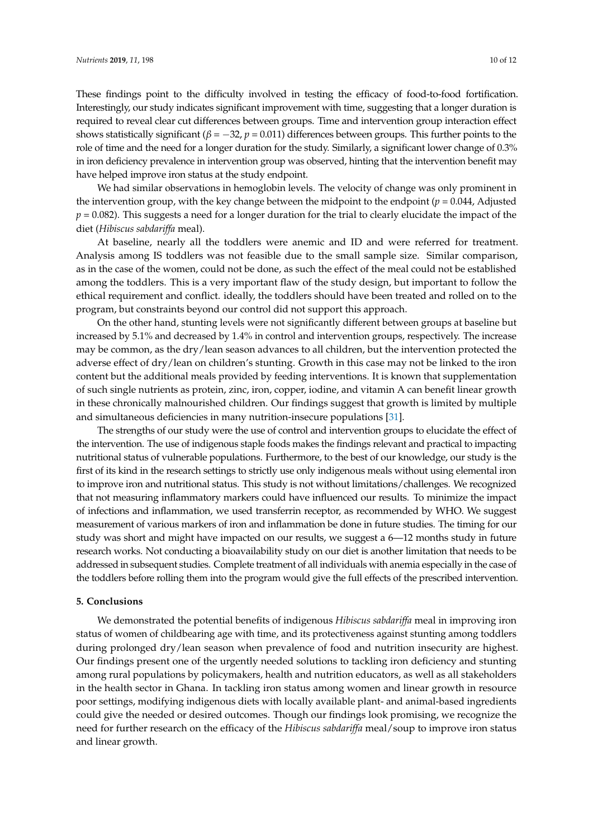These findings point to the difficulty involved in testing the efficacy of food-to-food fortification. Interestingly, our study indicates significant improvement with time, suggesting that a longer duration is required to reveal clear cut differences between groups. Time and intervention group interaction effect shows statistically significant ( $\beta = -32$ ,  $p = 0.011$ ) differences between groups. This further points to the role of time and the need for a longer duration for the study. Similarly, a significant lower change of 0.3% in iron deficiency prevalence in intervention group was observed, hinting that the intervention benefit may have helped improve iron status at the study endpoint.

We had similar observations in hemoglobin levels. The velocity of change was only prominent in the intervention group, with the key change between the midpoint to the endpoint ( $p = 0.044$ , Adjusted  $p = 0.082$ ). This suggests a need for a longer duration for the trial to clearly elucidate the impact of the diet (*Hibiscus sabdariffa* meal).

At baseline, nearly all the toddlers were anemic and ID and were referred for treatment. Analysis among IS toddlers was not feasible due to the small sample size. Similar comparison, as in the case of the women, could not be done, as such the effect of the meal could not be established among the toddlers. This is a very important flaw of the study design, but important to follow the ethical requirement and conflict. ideally, the toddlers should have been treated and rolled on to the program, but constraints beyond our control did not support this approach.

On the other hand, stunting levels were not significantly different between groups at baseline but increased by 5.1% and decreased by 1.4% in control and intervention groups, respectively. The increase may be common, as the dry/lean season advances to all children, but the intervention protected the adverse effect of dry/lean on children's stunting. Growth in this case may not be linked to the iron content but the additional meals provided by feeding interventions. It is known that supplementation of such single nutrients as protein, zinc, iron, copper, iodine, and vitamin A can benefit linear growth in these chronically malnourished children. Our findings suggest that growth is limited by multiple and simultaneous deficiencies in many nutrition-insecure populations [\[31\]](#page-11-12).

The strengths of our study were the use of control and intervention groups to elucidate the effect of the intervention. The use of indigenous staple foods makes the findings relevant and practical to impacting nutritional status of vulnerable populations. Furthermore, to the best of our knowledge, our study is the first of its kind in the research settings to strictly use only indigenous meals without using elemental iron to improve iron and nutritional status. This study is not without limitations/challenges. We recognized that not measuring inflammatory markers could have influenced our results. To minimize the impact of infections and inflammation, we used transferrin receptor, as recommended by WHO. We suggest measurement of various markers of iron and inflammation be done in future studies. The timing for our study was short and might have impacted on our results, we suggest a 6—12 months study in future research works. Not conducting a bioavailability study on our diet is another limitation that needs to be addressed in subsequent studies. Complete treatment of all individuals with anemia especially in the case of the toddlers before rolling them into the program would give the full effects of the prescribed intervention.

#### **5. Conclusions**

We demonstrated the potential benefits of indigenous *Hibiscus sabdariffa* meal in improving iron status of women of childbearing age with time, and its protectiveness against stunting among toddlers during prolonged dry/lean season when prevalence of food and nutrition insecurity are highest. Our findings present one of the urgently needed solutions to tackling iron deficiency and stunting among rural populations by policymakers, health and nutrition educators, as well as all stakeholders in the health sector in Ghana. In tackling iron status among women and linear growth in resource poor settings, modifying indigenous diets with locally available plant- and animal-based ingredients could give the needed or desired outcomes. Though our findings look promising, we recognize the need for further research on the efficacy of the *Hibiscus sabdariffa* meal/soup to improve iron status and linear growth.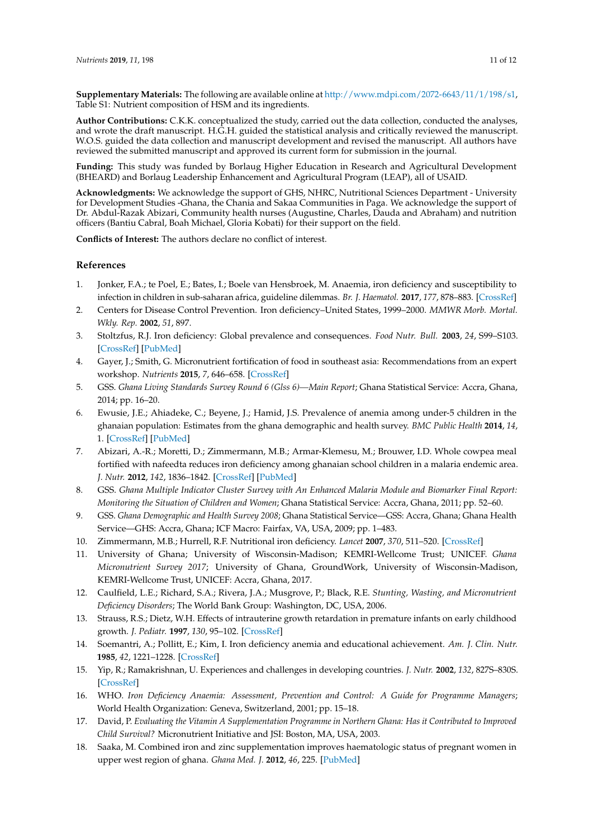**Supplementary Materials:** The following are available online at [http://www.mdpi.com/2072-6643/11/1/198/s1,](http://www.mdpi.com/2072-6643/11/1/198/s1) Table S1: Nutrient composition of HSM and its ingredients.

**Author Contributions:** C.K.K. conceptualized the study, carried out the data collection, conducted the analyses, and wrote the draft manuscript. H.G.H. guided the statistical analysis and critically reviewed the manuscript. W.O.S. guided the data collection and manuscript development and revised the manuscript. All authors have reviewed the submitted manuscript and approved its current form for submission in the journal.

**Funding:** This study was funded by Borlaug Higher Education in Research and Agricultural Development (BHEARD) and Borlaug Leadership Enhancement and Agricultural Program (LEAP), all of USAID.

**Acknowledgments:** We acknowledge the support of GHS, NHRC, Nutritional Sciences Department - University for Development Studies -Ghana, the Chania and Sakaa Communities in Paga. We acknowledge the support of Dr. Abdul-Razak Abizari, Community health nurses (Augustine, Charles, Dauda and Abraham) and nutrition officers (Bantiu Cabral, Boah Michael, Gloria Kobati) for their support on the field.

**Conflicts of Interest:** The authors declare no conflict of interest.

#### **References**

- <span id="page-10-0"></span>1. Jonker, F.A.; te Poel, E.; Bates, I.; Boele van Hensbroek, M. Anaemia, iron deficiency and susceptibility to infection in children in sub-saharan africa, guideline dilemmas. *Br. J. Haematol.* **2017**, *177*, 878–883. [\[CrossRef\]](http://dx.doi.org/10.1111/bjh.14593)
- 2. Centers for Disease Control Prevention. Iron deficiency–United States, 1999–2000. *MMWR Morb. Mortal. Wkly. Rep.* **2002**, *51*, 897.
- 3. Stoltzfus, R.J. Iron deficiency: Global prevalence and consequences. *Food Nutr. Bull.* **2003**, *24*, S99–S103. [\[CrossRef\]](http://dx.doi.org/10.1177/15648265030244S106) [\[PubMed\]](http://www.ncbi.nlm.nih.gov/pubmed/17016951)
- <span id="page-10-1"></span>4. Gayer, J.; Smith, G. Micronutrient fortification of food in southeast asia: Recommendations from an expert workshop. *Nutrients* **2015**, *7*, 646–658. [\[CrossRef\]](http://dx.doi.org/10.3390/nu7010646)
- <span id="page-10-2"></span>5. GSS. *Ghana Living Standards Survey Round 6 (Glss 6)—Main Report*; Ghana Statistical Service: Accra, Ghana, 2014; pp. 16–20.
- 6. Ewusie, J.E.; Ahiadeke, C.; Beyene, J.; Hamid, J.S. Prevalence of anemia among under-5 children in the ghanaian population: Estimates from the ghana demographic and health survey. *BMC Public Health* **2014**, *14*, 1. [\[CrossRef\]](http://dx.doi.org/10.1186/1471-2458-14-626) [\[PubMed\]](http://www.ncbi.nlm.nih.gov/pubmed/24946725)
- <span id="page-10-11"></span>7. Abizari, A.-R.; Moretti, D.; Zimmermann, M.B.; Armar-Klemesu, M.; Brouwer, I.D. Whole cowpea meal fortified with nafeedta reduces iron deficiency among ghanaian school children in a malaria endemic area. *J. Nutr.* **2012**, *142*, 1836–1842. [\[CrossRef\]](http://dx.doi.org/10.3945/jn.112.165753) [\[PubMed\]](http://www.ncbi.nlm.nih.gov/pubmed/22915294)
- 8. GSS. *Ghana Multiple Indicator Cluster Survey with An Enhanced Malaria Module and Biomarker Final Report: Monitoring the Situation of Children and Women*; Ghana Statistical Service: Accra, Ghana, 2011; pp. 52–60.
- 9. GSS. *Ghana Demographic and Health Survey 2008*; Ghana Statistical Service—GSS: Accra, Ghana; Ghana Health Service—GHS: Accra, Ghana; ICF Macro: Fairfax, VA, USA, 2009; pp. 1–483.
- <span id="page-10-3"></span>10. Zimmermann, M.B.; Hurrell, R.F. Nutritional iron deficiency. *Lancet* **2007**, *370*, 511–520. [\[CrossRef\]](http://dx.doi.org/10.1016/S0140-6736(07)61235-5)
- <span id="page-10-4"></span>11. University of Ghana; University of Wisconsin-Madison; KEMRI-Wellcome Trust; UNICEF. *Ghana Micronutrient Survey 2017*; University of Ghana, GroundWork, University of Wisconsin-Madison, KEMRI-Wellcome Trust, UNICEF: Accra, Ghana, 2017.
- <span id="page-10-5"></span>12. Caulfield, L.E.; Richard, S.A.; Rivera, J.A.; Musgrove, P.; Black, R.E. *Stunting, Wasting, and Micronutrient Deficiency Disorders*; The World Bank Group: Washington, DC, USA, 2006.
- <span id="page-10-6"></span>13. Strauss, R.S.; Dietz, W.H. Effects of intrauterine growth retardation in premature infants on early childhood growth. *J. Pediatr.* **1997**, *130*, 95–102. [\[CrossRef\]](http://dx.doi.org/10.1016/S0022-3476(97)70316-0)
- <span id="page-10-7"></span>14. Soemantri, A.; Pollitt, E.; Kim, I. Iron deficiency anemia and educational achievement. *Am. J. Clin. Nutr.* **1985**, *42*, 1221–1228. [\[CrossRef\]](http://dx.doi.org/10.1093/ajcn/42.6.1221)
- <span id="page-10-8"></span>15. Yip, R.; Ramakrishnan, U. Experiences and challenges in developing countries. *J. Nutr.* **2002**, *132*, 827S–830S. [\[CrossRef\]](http://dx.doi.org/10.1093/jn/132.4.827S)
- <span id="page-10-9"></span>16. WHO. *Iron Deficiency Anaemia: Assessment, Prevention and Control: A Guide for Programme Managers*; World Health Organization: Geneva, Switzerland, 2001; pp. 15–18.
- <span id="page-10-10"></span>17. David, P. *Evaluating the Vitamin A Supplementation Programme in Northern Ghana: Has it Contributed to Improved Child Survival?* Micronutrient Initiative and JSI: Boston, MA, USA, 2003.
- 18. Saaka, M. Combined iron and zinc supplementation improves haematologic status of pregnant women in upper west region of ghana. *Ghana Med. J.* **2012**, *46*, 225. [\[PubMed\]](http://www.ncbi.nlm.nih.gov/pubmed/23661841)